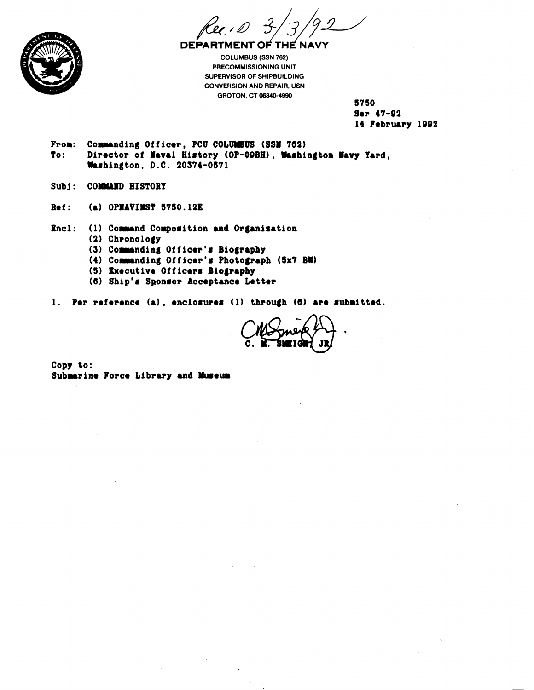**DEPARTMENT OF THE NAV** 

**COLUMBUS (SSN 762) PRECOMMISSIONING UNIT SUPERVISOR OF SHIPBUILDING CONVERSION AND REPAIR, USN GROTON, CT 08340-4990** 

5750 Ser 47-92 14 February 1992

- **From: Commanding Officer, PCU COLUMBUS (SSN 762)**<br>To: Director of Naval History (OP-09BH), Washi Director of Naval History (OP-09BH), Washington Navy Yard, **bahington, D.C. 20374-0571**
- Subj: COMMAND HISTORY
- **Ref: (8) OPMAVIMST 5780.12E**

**Encl:** (1) Command Composition and Organisation **(2) Chronology** 

- (3) Commanding Officer's Biography
- **(4) Conding Officor'a Photo#raph (8x7 BW)**
- **(5) txocutivo Officera Biography**
- **(6) Ship1# Sponaor Acceptance Lottor**

**1. Per roforenco (a), oncloauroa (1) through (6) are aubrittod.** 

**Copy to: Submarine Force Library and Museum**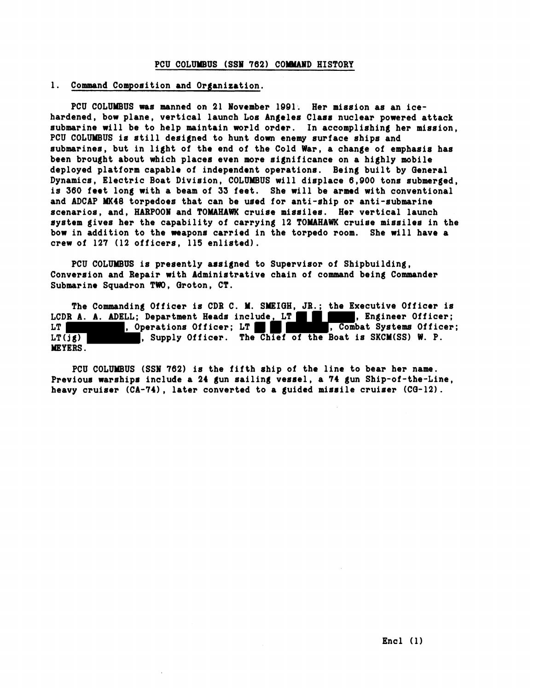## **PCU COLUMBUS (SSN 762) COMMAND HISTORY**

## **1. Command Composition and Organization.**

**PCU COLUMBUS was manned on 21 Yovember 1991. Her miasion as an icehardened, bow plane, vertical launch Los Angelea Class nuclear powered attack submarine will be to help maintain world order. In accomplishing her mission, PCU COLUUEUS is still designed to hunt dom enemy surface ships and submarines, but in light of the end of the Cold War, a change of emphasis has been brought about which places even more significance on a highly mobile deployed platform capable of independent operations. Being built by Qeneral Dynamics, Electric Boat Division, COLUMBUS will displace 6,000 tons submerged, is 360 feet long with a beam of 33 feet. She will be armed with conventional and ADCAP MK40 torpedoes that can be used for anti-ship or anti-submarine scenarios, and, HARPOON and TOMAHAWK cruise missiles. Her vertical launch system gives her the capability of carrying 12 TOMAHAWK cruiae missiles in the bow in addition to the weapons carried in the torpedo room. She will have a crew of 127 (12 officers, 115 enlisted).** 

PCU COLUMBUS is presently assigned to Supervisor of Shipbuilding, **Conversion and Repair with Administrative chain of command being Commander Submarine Squadron TW, Groton, CT.** 

**The Commanding Officer is CDB C. M. SMEIQH, JB.; the Executive Officer is**  LCDR A. A. ADELL; Department Heads include, LT , Engineer Officer; LT , Engineer Officer; LT LT , Operations Officer; LT **and The Compact Systems Officer;** LT( $\overline{jg}$ ) , Supply Officer. The Chief of the Boat is SKCM(SS) W. P. **WYERS** .

**PCU COLUMBUS (SSI 762) is the fifth ship of the line to bear her name.**  Previous warships include a 24 gun sailing vessel, a 74 gun Ship-of-the-Line, **heavy cruiser (CA-741, later converted to a guided missile cruiser (CQ-12).**